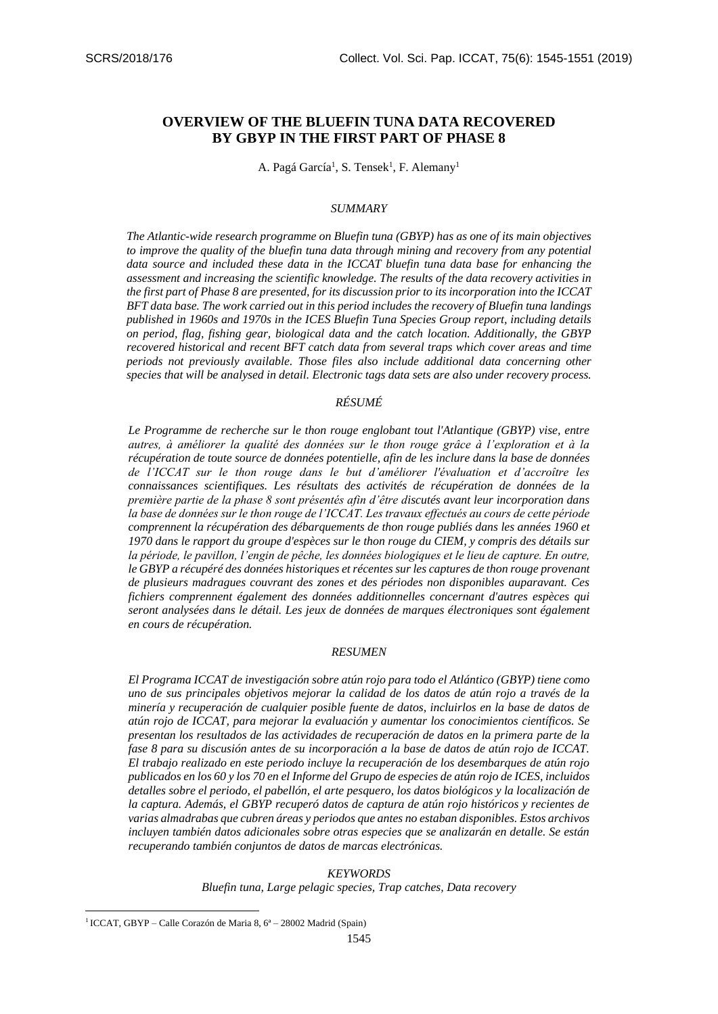# **OVERVIEW OF THE BLUEFIN TUNA DATA RECOVERED BY GBYP IN THE FIRST PART OF PHASE 8**

A. Pagá García<sup>1</sup>, S. Tensek<sup>1</sup>, F. Alemany<sup>1</sup>

### *SUMMARY*

*The Atlantic-wide research programme on Bluefin tuna (GBYP) has as one of its main objectives to improve the quality of the bluefin tuna data through mining and recovery from any potential data source and included these data in the ICCAT bluefin tuna data base for enhancing the assessment and increasing the scientific knowledge. The results of the data recovery activities in the first part of Phase 8 are presented, for its discussion prior to its incorporation into the ICCAT BFT data base. The work carried out in this period includes the recovery of Bluefin tuna landings published in 1960s and 1970s in the ICES Bluefin Tuna Species Group report, including details on period, flag, fishing gear, biological data and the catch location. Additionally, the GBYP recovered historical and recent BFT catch data from several traps which cover areas and time periods not previously available. Those files also include additional data concerning other species that will be analysed in detail. Electronic tags data sets are also under recovery process.*

## *RÉSUMÉ*

*Le Programme de recherche sur le thon rouge englobant tout l'Atlantique (GBYP) vise, entre autres, à améliorer la qualité des données sur le thon rouge grâce à l'exploration et à la récupération de toute source de données potentielle, afin de les inclure dans la base de données de l'ICCAT sur le thon rouge dans le but d'améliorer l'évaluation et d'accroître les connaissances scientifiques. Les résultats des activités de récupération de données de la première partie de la phase 8 sont présentés afin d'être discutés avant leur incorporation dans la base de données sur le thon rouge de l'ICCAT. Les travaux effectués au cours de cette période comprennent la récupération des débarquements de thon rouge publiés dans les années 1960 et 1970 dans le rapport du groupe d'espèces sur le thon rouge du CIEM, y compris des détails sur la période, le pavillon, l'engin de pêche, les données biologiques et le lieu de capture. En outre, le GBYP a récupéré des données historiques et récentes sur les captures de thon rouge provenant de plusieurs madragues couvrant des zones et des périodes non disponibles auparavant. Ces fichiers comprennent également des données additionnelles concernant d'autres espèces qui seront analysées dans le détail. Les jeux de données de marques électroniques sont également en cours de récupération.*

### *RESUMEN*

*El Programa ICCAT de investigación sobre atún rojo para todo el Atlántico (GBYP) tiene como uno de sus principales objetivos mejorar la calidad de los datos de atún rojo a través de la minería y recuperación de cualquier posible fuente de datos, incluirlos en la base de datos de atún rojo de ICCAT, para mejorar la evaluación y aumentar los conocimientos científicos. Se presentan los resultados de las actividades de recuperación de datos en la primera parte de la fase 8 para su discusión antes de su incorporación a la base de datos de atún rojo de ICCAT. El trabajo realizado en este periodo incluye la recuperación de los desembarques de atún rojo publicados en los 60 y los 70 en el Informe del Grupo de especies de atún rojo de ICES, incluidos detalles sobre el periodo, el pabellón, el arte pesquero, los datos biológicos y la localización de la captura. Además, el GBYP recuperó datos de captura de atún rojo históricos y recientes de varias almadrabas que cubren áreas y periodos que antes no estaban disponibles. Estos archivos incluyen también datos adicionales sobre otras especies que se analizarán en detalle. Se están recuperando también conjuntos de datos de marcas electrónicas.*

#### *KEYWORDS*

*Bluefin tuna, Large pelagic species, Trap catches, Data recovery*

**.** 

<sup>&</sup>lt;sup>1</sup> ICCAT, GBYP – Calle Corazón de Maria 8, 6<sup>ª</sup> – 28002 Madrid (Spain)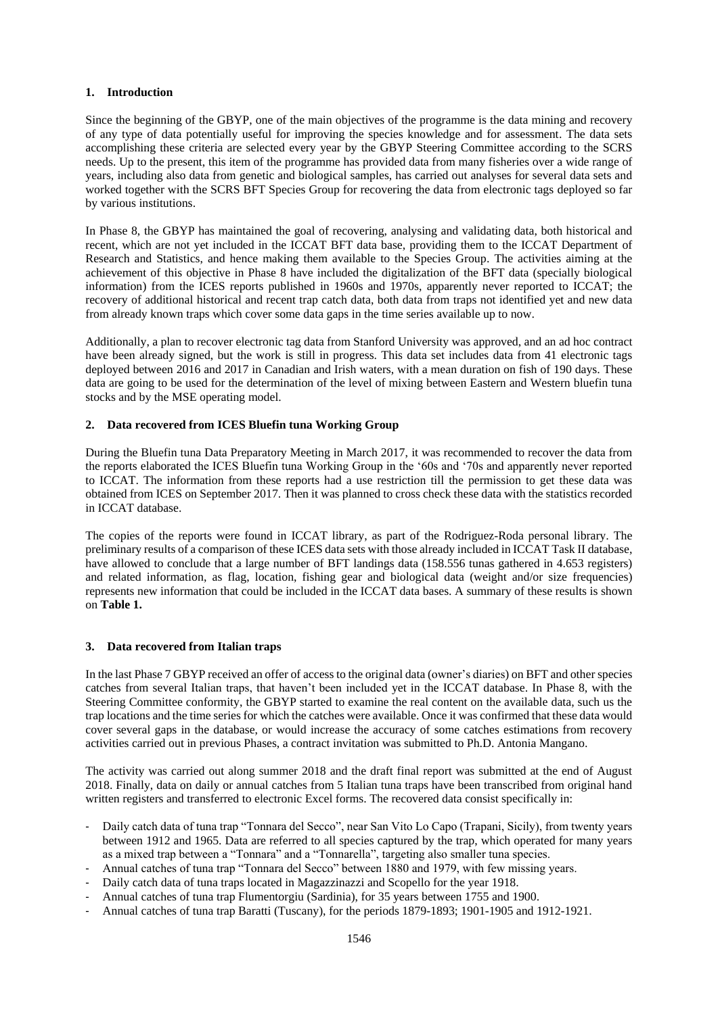### **1. Introduction**

Since the beginning of the GBYP, one of the main objectives of the programme is the data mining and recovery of any type of data potentially useful for improving the species knowledge and for assessment. The data sets accomplishing these criteria are selected every year by the GBYP Steering Committee according to the SCRS needs. Up to the present, this item of the programme has provided data from many fisheries over a wide range of years, including also data from genetic and biological samples, has carried out analyses for several data sets and worked together with the SCRS BFT Species Group for recovering the data from electronic tags deployed so far by various institutions.

In Phase 8, the GBYP has maintained the goal of recovering, analysing and validating data, both historical and recent, which are not yet included in the ICCAT BFT data base, providing them to the ICCAT Department of Research and Statistics, and hence making them available to the Species Group. The activities aiming at the achievement of this objective in Phase 8 have included the digitalization of the BFT data (specially biological information) from the ICES reports published in 1960s and 1970s, apparently never reported to ICCAT; the recovery of additional historical and recent trap catch data, both data from traps not identified yet and new data from already known traps which cover some data gaps in the time series available up to now.

Additionally, a plan to recover electronic tag data from Stanford University was approved, and an ad hoc contract have been already signed, but the work is still in progress. This data set includes data from 41 electronic tags deployed between 2016 and 2017 in Canadian and Irish waters, with a mean duration on fish of 190 days. These data are going to be used for the determination of the level of mixing between Eastern and Western bluefin tuna stocks and by the MSE operating model.

### **2. Data recovered from ICES Bluefin tuna Working Group**

During the Bluefin tuna Data Preparatory Meeting in March 2017, it was recommended to recover the data from the reports elaborated the ICES Bluefin tuna Working Group in the '60s and '70s and apparently never reported to ICCAT. The information from these reports had a use restriction till the permission to get these data was obtained from ICES on September 2017. Then it was planned to cross check these data with the statistics recorded in ICCAT database.

The copies of the reports were found in ICCAT library, as part of the Rodriguez-Roda personal library. The preliminary results of a comparison of these ICES data sets with those already included in ICCAT Task II database, have allowed to conclude that a large number of BFT landings data (158.556 tunas gathered in 4.653 registers) and related information, as flag, location, fishing gear and biological data (weight and/or size frequencies) represents new information that could be included in the ICCAT data bases. A summary of these results is shown on **Table 1.** 

### **3. Data recovered from Italian traps**

In the last Phase 7 GBYP received an offer of access to the original data (owner's diaries) on BFT and other species catches from several Italian traps, that haven't been included yet in the ICCAT database. In Phase 8, with the Steering Committee conformity, the GBYP started to examine the real content on the available data, such us the trap locations and the time series for which the catches were available. Once it was confirmed that these data would cover several gaps in the database, or would increase the accuracy of some catches estimations from recovery activities carried out in previous Phases, a contract invitation was submitted to Ph.D. Antonia Mangano.

The activity was carried out along summer 2018 and the draft final report was submitted at the end of August 2018. Finally, data on daily or annual catches from 5 Italian tuna traps have been transcribed from original hand written registers and transferred to electronic Excel forms. The recovered data consist specifically in:

- Daily catch data of tuna trap "Tonnara del Secco", near San Vito Lo Capo (Trapani, Sicily), from twenty years between 1912 and 1965. Data are referred to all species captured by the trap, which operated for many years as a mixed trap between a "Tonnara" and a "Tonnarella", targeting also smaller tuna species.
- Annual catches of tuna trap "Tonnara del Secco" between 1880 and 1979, with few missing years.
- Daily catch data of tuna traps located in Magazzinazzi and Scopello for the year 1918.
- Annual catches of tuna trap Flumentorgiu (Sardinia), for 35 years between 1755 and 1900.
- Annual catches of tuna trap Baratti (Tuscany), for the periods 1879-1893; 1901-1905 and 1912-1921.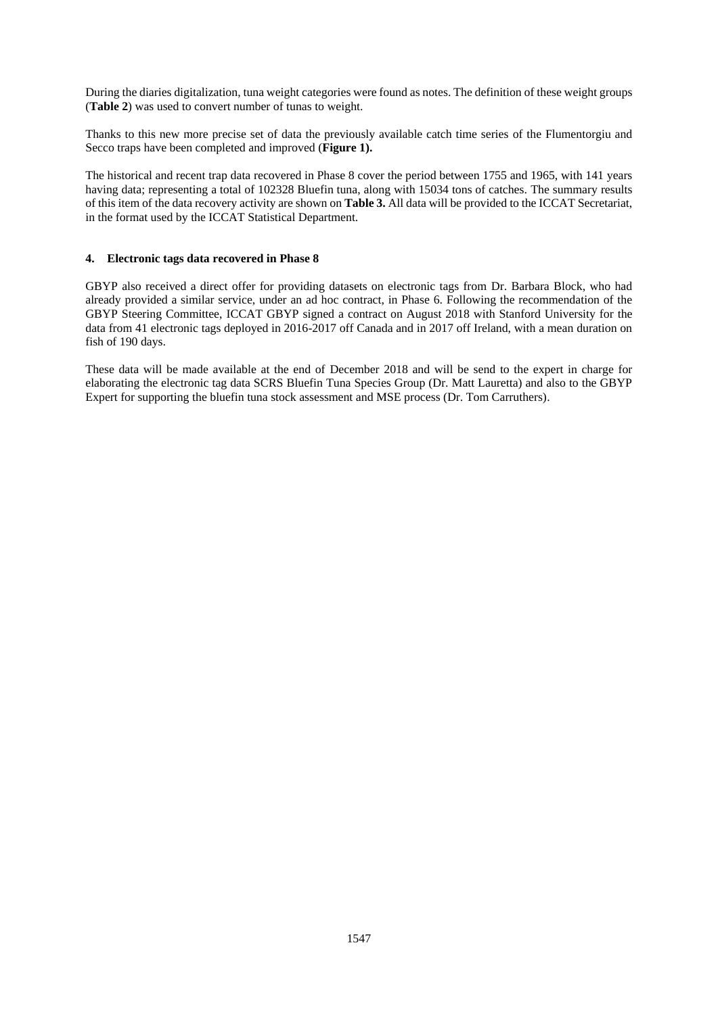During the diaries digitalization, tuna weight categories were found as notes. The definition of these weight groups (**Table 2**) was used to convert number of tunas to weight.

Thanks to this new more precise set of data the previously available catch time series of the Flumentorgiu and Secco traps have been completed and improved (**Figure 1).**

The historical and recent trap data recovered in Phase 8 cover the period between 1755 and 1965, with 141 years having data; representing a total of 102328 Bluefin tuna, along with 15034 tons of catches. The summary results of this item of the data recovery activity are shown on **Table 3.** All data will be provided to the ICCAT Secretariat, in the format used by the ICCAT Statistical Department.

### **4. Electronic tags data recovered in Phase 8**

GBYP also received a direct offer for providing datasets on electronic tags from Dr. Barbara Block, who had already provided a similar service, under an ad hoc contract, in Phase 6. Following the recommendation of the GBYP Steering Committee, ICCAT GBYP signed a contract on August 2018 with Stanford University for the data from 41 electronic tags deployed in 2016-2017 off Canada and in 2017 off Ireland, with a mean duration on fish of 190 days.

These data will be made available at the end of December 2018 and will be send to the expert in charge for elaborating the electronic tag data SCRS Bluefin Tuna Species Group (Dr. Matt Lauretta) and also to the GBYP Expert for supporting the bluefin tuna stock assessment and MSE process (Dr. Tom Carruthers).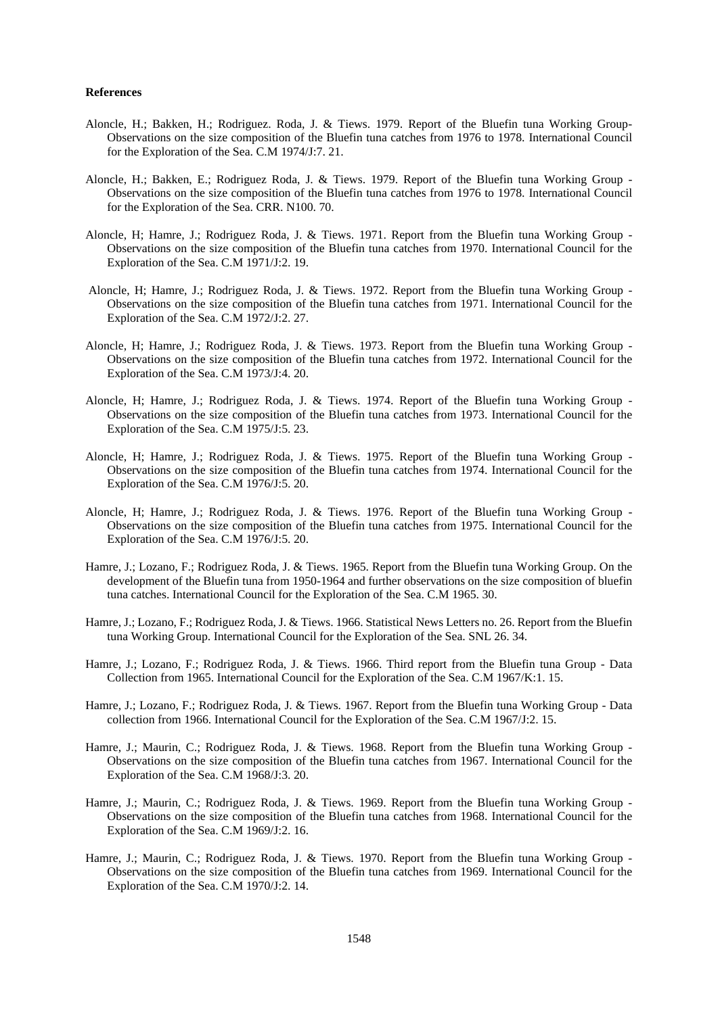#### **References**

- Aloncle, H.; Bakken, H.; Rodriguez. Roda, J. & Tiews. 1979. Report of the Bluefin tuna Working Group-Observations on the size composition of the Bluefin tuna catches from 1976 to 1978. International Council for the Exploration of the Sea. C.M 1974/J:7. 21.
- Aloncle, H.; Bakken, E.; Rodriguez Roda, J. & Tiews. 1979. Report of the Bluefin tuna Working Group Observations on the size composition of the Bluefin tuna catches from 1976 to 1978. International Council for the Exploration of the Sea. CRR. N100. 70.
- Aloncle, H; Hamre, J.; Rodriguez Roda, J. & Tiews. 1971. Report from the Bluefin tuna Working Group Observations on the size composition of the Bluefin tuna catches from 1970. International Council for the Exploration of the Sea. C.M 1971/J:2. 19.
- Aloncle, H; Hamre, J.; Rodriguez Roda, J. & Tiews. 1972. Report from the Bluefin tuna Working Group Observations on the size composition of the Bluefin tuna catches from 1971. International Council for the Exploration of the Sea. C.M 1972/J:2. 27.
- Aloncle, H; Hamre, J.; Rodriguez Roda, J. & Tiews. 1973. Report from the Bluefin tuna Working Group Observations on the size composition of the Bluefin tuna catches from 1972. International Council for the Exploration of the Sea. C.M 1973/J:4. 20.
- Aloncle, H; Hamre, J.; Rodriguez Roda, J. & Tiews. 1974. Report of the Bluefin tuna Working Group Observations on the size composition of the Bluefin tuna catches from 1973. International Council for the Exploration of the Sea. C.M 1975/J:5. 23.
- Aloncle, H; Hamre, J.; Rodriguez Roda, J. & Tiews. 1975. Report of the Bluefin tuna Working Group Observations on the size composition of the Bluefin tuna catches from 1974. International Council for the Exploration of the Sea. C.M 1976/J:5. 20.
- Aloncle, H; Hamre, J.; Rodriguez Roda, J. & Tiews. 1976. Report of the Bluefin tuna Working Group Observations on the size composition of the Bluefin tuna catches from 1975. International Council for the Exploration of the Sea. C.M 1976/J:5. 20.
- Hamre, J.; Lozano, F.; Rodriguez Roda, J. & Tiews. 1965. Report from the Bluefin tuna Working Group. On the development of the Bluefin tuna from 1950-1964 and further observations on the size composition of bluefin tuna catches. International Council for the Exploration of the Sea. C.M 1965. 30.
- Hamre, J.; Lozano, F.; Rodriguez Roda, J. & Tiews. 1966. Statistical News Letters no. 26. Report from the Bluefin tuna Working Group. International Council for the Exploration of the Sea. SNL 26. 34.
- Hamre, J.; Lozano, F.; Rodriguez Roda, J. & Tiews. 1966. Third report from the Bluefin tuna Group Data Collection from 1965. International Council for the Exploration of the Sea. C.M 1967/K:1. 15.
- Hamre, J.; Lozano, F.; Rodriguez Roda, J. & Tiews. 1967. Report from the Bluefin tuna Working Group Data collection from 1966. International Council for the Exploration of the Sea. C.M 1967/J:2. 15.
- Hamre, J.; Maurin, C.; Rodriguez Roda, J. & Tiews. 1968. Report from the Bluefin tuna Working Group Observations on the size composition of the Bluefin tuna catches from 1967. International Council for the Exploration of the Sea. C.M 1968/J:3. 20.
- Hamre, J.; Maurin, C.; Rodriguez Roda, J. & Tiews. 1969. Report from the Bluefin tuna Working Group Observations on the size composition of the Bluefin tuna catches from 1968. International Council for the Exploration of the Sea. C.M 1969/J:2. 16.
- Hamre, J.; Maurin, C.; Rodriguez Roda, J. & Tiews. 1970. Report from the Bluefin tuna Working Group Observations on the size composition of the Bluefin tuna catches from 1969. International Council for the Exploration of the Sea. C.M 1970/J:2. 14.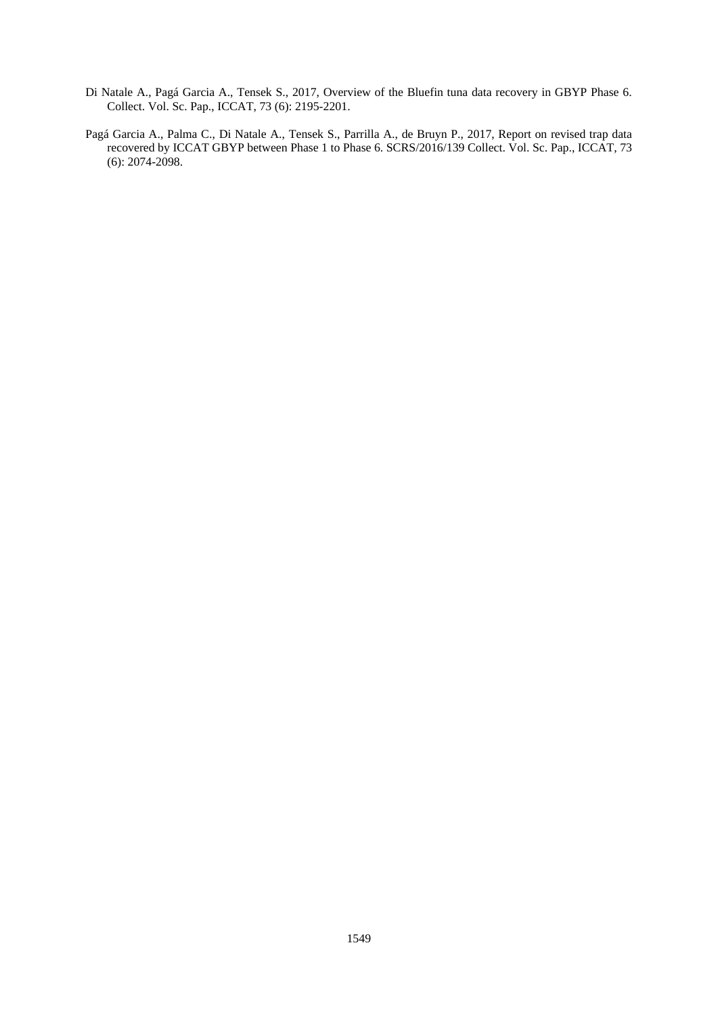- Di Natale A., Pagá Garcia A., Tensek S., 2017, Overview of the Bluefin tuna data recovery in GBYP Phase 6. Collect. Vol. Sc. Pap., ICCAT, 73 (6): 2195-2201.
- Pagá Garcia A., Palma C., Di Natale A., Tensek S., Parrilla A., de Bruyn P., 2017, Report on revised trap data recovered by ICCAT GBYP between Phase 1 to Phase 6. SCRS/2016/139 Collect. Vol. Sc. Pap., ICCAT, 73 (6): 2074-2098.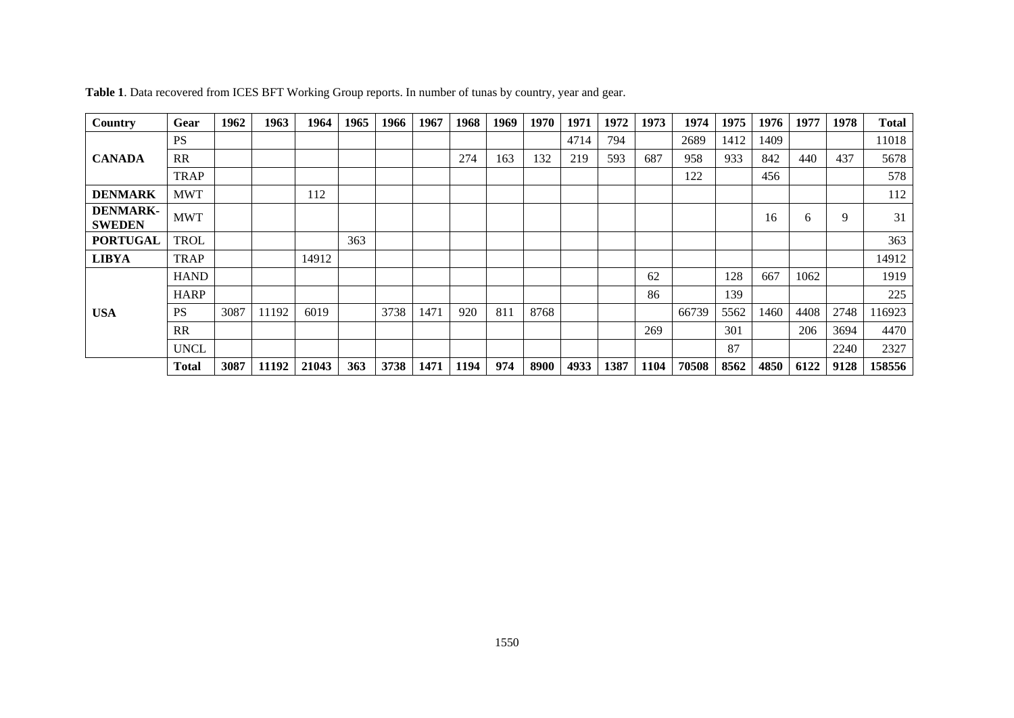| Country                          | Gear         | 1962 | 1963  | 1964  | 1965 | 1966 | 1967 | 1968 | 1969 | 1970 | 1971 | 1972 | 1973 | 1974  | 1975 | 1976 | 1977 | 1978 | <b>Total</b> |
|----------------------------------|--------------|------|-------|-------|------|------|------|------|------|------|------|------|------|-------|------|------|------|------|--------------|
| <b>CANADA</b>                    | <b>PS</b>    |      |       |       |      |      |      |      |      |      | 4714 | 794  |      | 2689  | 1412 | 1409 |      |      | 11018        |
|                                  | <b>RR</b>    |      |       |       |      |      |      | 274  | 163  | 132  | 219  | 593  | 687  | 958   | 933  | 842  | 440  | 437  | 5678         |
|                                  | <b>TRAP</b>  |      |       |       |      |      |      |      |      |      |      |      |      | 122   |      | 456  |      |      | 578          |
| <b>DENMARK</b>                   | <b>MWT</b>   |      |       | 112   |      |      |      |      |      |      |      |      |      |       |      |      |      |      | 112          |
| <b>DENMARK-</b><br><b>SWEDEN</b> | <b>MWT</b>   |      |       |       |      |      |      |      |      |      |      |      |      |       |      | 16   | 6    | 9    | 31           |
| <b>PORTUGAL</b>                  | <b>TROL</b>  |      |       |       | 363  |      |      |      |      |      |      |      |      |       |      |      |      |      | 363          |
| <b>LIBYA</b>                     | TRAP         |      |       | 14912 |      |      |      |      |      |      |      |      |      |       |      |      |      |      | 14912        |
| <b>USA</b>                       | <b>HAND</b>  |      |       |       |      |      |      |      |      |      |      |      | 62   |       | 128  | 667  | 1062 |      | 1919         |
|                                  | <b>HARP</b>  |      |       |       |      |      |      |      |      |      |      |      | 86   |       | 139  |      |      |      | 225          |
|                                  | <b>PS</b>    | 3087 | 11192 | 6019  |      | 3738 | 1471 | 920  | 811  | 8768 |      |      |      | 66739 | 5562 | 1460 | 4408 | 2748 | 116923       |
|                                  | <b>RR</b>    |      |       |       |      |      |      |      |      |      |      |      | 269  |       | 301  |      | 206  | 3694 | 4470         |
|                                  | <b>UNCL</b>  |      |       |       |      |      |      |      |      |      |      |      |      |       | 87   |      |      | 2240 | 2327         |
|                                  | <b>Total</b> | 3087 | 11192 | 21043 | 363  | 3738 | 1471 | 1194 | 974  | 8900 | 4933 | 1387 | 1104 | 70508 | 8562 | 4850 | 6122 | 9128 | 158556       |

**Table 1**. Data recovered from ICES BFT Working Group reports. In number of tunas by country, year and gear.